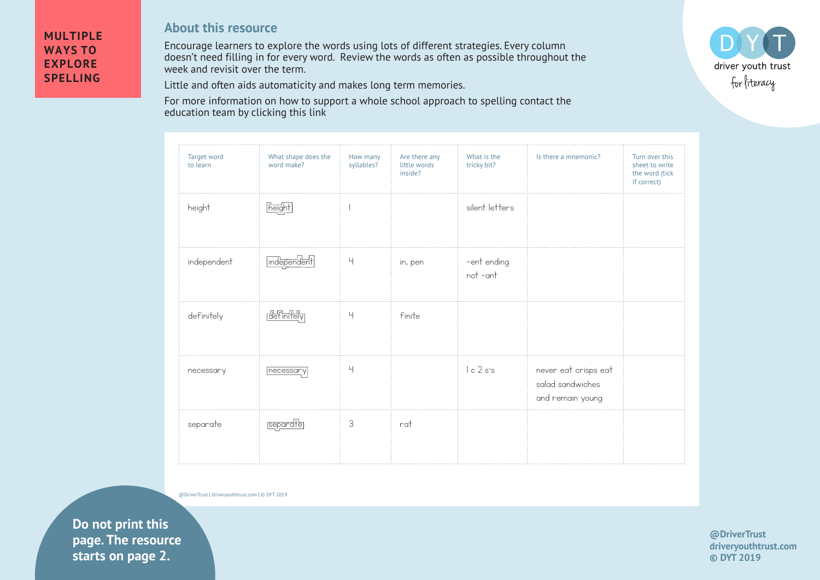## **MULTIPLE WAYS TO EXPLORE SPELLING**

## **About this resource**

Encourage learners to explore the words using lots of different strategies. Every column doesn't need filling in for every word. Review the words as often as possible throughout the week and revisit over the term.

Little and often aids automaticity and makes long term memories.

For more information on how to support a whole school approach to spelling contact the education team by clicking this link

| Target word<br>to learn | What shape does the<br>word make? | How many<br>syllables? | Are there any<br>little words<br>inside? | What is the<br>tricky bit? | Is there a mnemonic?                                         | Turn over this<br>sheet to write<br>the word (tick<br>if correct) |
|-------------------------|-----------------------------------|------------------------|------------------------------------------|----------------------------|--------------------------------------------------------------|-------------------------------------------------------------------|
| height                  | height                            |                        |                                          | silent letters             |                                                              |                                                                   |
| independent             | independent                       | $\mathord{\text{H}}$   | in, pen                                  | -ent ending<br>not -ant    |                                                              |                                                                   |
| definitely              | <b>definitely</b>                 | $\overline{4}$         | finite                                   |                            |                                                              |                                                                   |
| necessary               | necessary                         | Ч                      |                                          | lc2s's                     | never eat crisps eat<br>salad sandwiches<br>and remain young |                                                                   |
| separate                | separate                          | 3                      | $\mathsf{rat}$                           |                            |                                                              |                                                                   |

@DriverTrust | driveryouthtrust.com | © DYT 2019

**Example 2.** Starts on page 2. **Do not print this page. The resource** 



**@DriverTrust driveryouthtrust.com © DYT 2019**